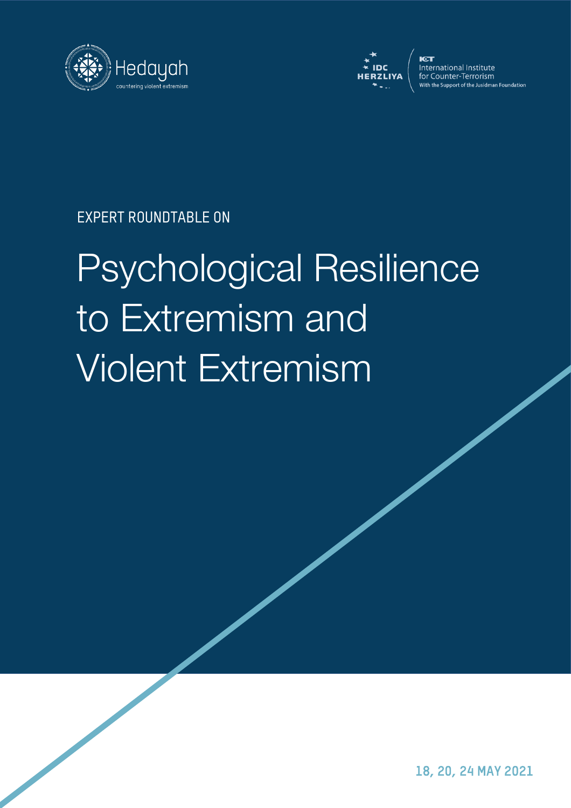



International Institute for Counter-Terrorism With the Support of the Jusidman Foundation

EXPERT ROUNDTABLE ON

# Psychological Resilience to Extremism and Violent Extremism

18, 20, 24 MAY 2021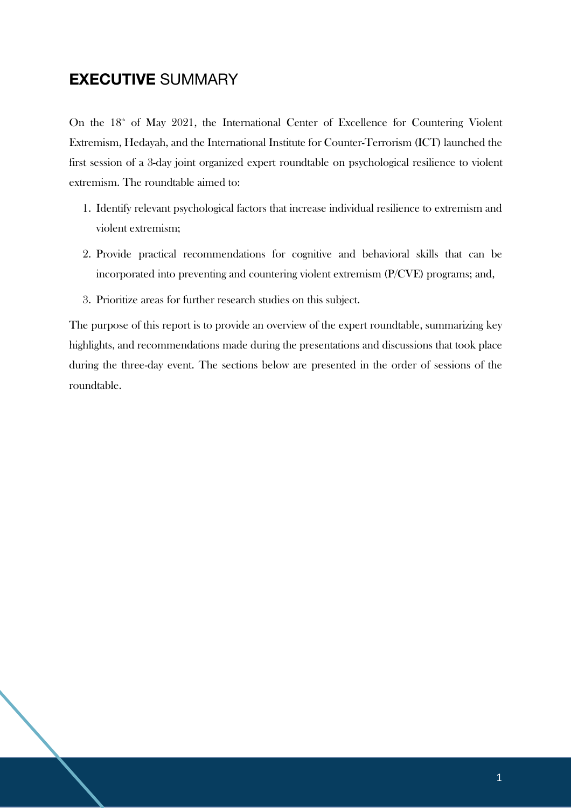# **EXECUTIVE** SUMMARY

On the 18<sup>th</sup> of May 2021, the International Center of Excellence for Countering Violent Extremism, Hedayah, and the International Institute for Counter-Terrorism (ICT) launched the first session of a 3-day joint organized expert roundtable on psychological resilience to violent extremism. The roundtable aimed to:

- 1. Identify relevant psychological factors that increase individual resilience to extremism and violent extremism;
- 2. Provide practical recommendations for cognitive and behavioral skills that can be incorporated into preventing and countering violent extremism (P/CVE) programs; and,
- 3. Prioritize areas for further research studies on this subject.

The purpose of this report is to provide an overview of the expert roundtable, summarizing key highlights, and recommendations made during the presentations and discussions that took place during the three-day event. The sections below are presented in the order of sessions of the roundtable.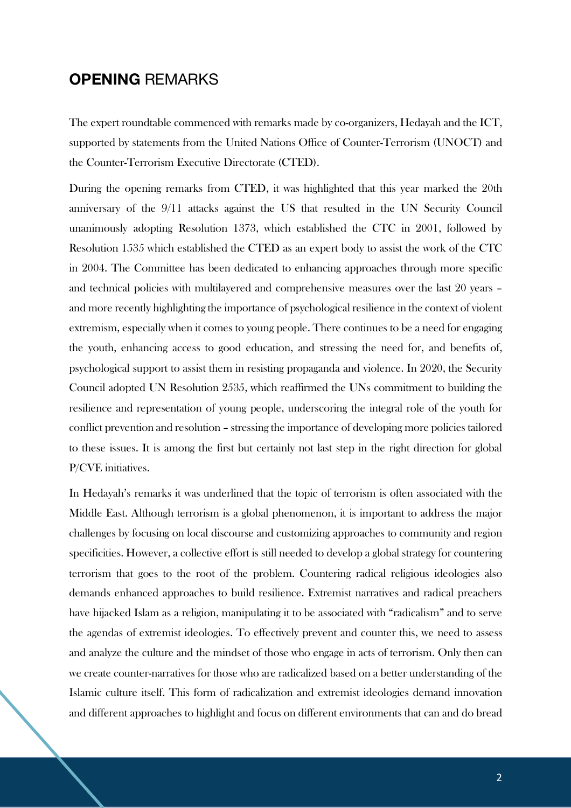# **OPENING** REMARKS

The expert roundtable commenced with remarks made by co-organizers, Hedayah and the ICT, supported by statements from the United Nations Office of Counter-Terrorism (UNOCT) and the Counter-Terrorism Executive Directorate (CTED).

During the opening remarks from CTED, it was highlighted that this year marked the 20th anniversary of the 9/11 attacks against the US that resulted in the UN Security Council unanimously adopting Resolution 1373, which established the CTC in 2001, followed by Resolution 1535 which established the CTED as an expert body to assist the work of the CTC in 2004. The Committee has been dedicated to enhancing approaches through more specific and technical policies with multilayered and comprehensive measures over the last 20 years – and more recently highlighting the importance of psychological resilience in the context of violent extremism, especially when it comes to young people. There continues to be a need for engaging the youth, enhancing access to good education, and stressing the need for, and benefits of, psychological support to assist them in resisting propaganda and violence. In 2020, the Security Council adopted UN Resolution 2535, which reaffirmed the UNs commitment to building the resilience and representation of young people, underscoring the integral role of the youth for conflict prevention and resolution – stressing the importance of developing more policies tailored to these issues. It is among the first but certainly not last step in the right direction for global P/CVE initiatives.

In Hedayah's remarks it was underlined that the topic of terrorism is often associated with the Middle East. Although terrorism is a global phenomenon, it is important to address the major challenges by focusing on local discourse and customizing approaches to community and region specificities. However, a collective effort is still needed to develop a global strategy for countering terrorism that goes to the root of the problem. Countering radical religious ideologies also demands enhanced approaches to build resilience. Extremist narratives and radical preachers have hijacked Islam as a religion, manipulating it to be associated with "radicalism" and to serve the agendas of extremist ideologies. To effectively prevent and counter this, we need to assess and analyze the culture and the mindset of those who engage in acts of terrorism. Only then can we create counter-narratives for those who are radicalized based on a better understanding of the Islamic culture itself. This form of radicalization and extremist ideologies demand innovation and different approaches to highlight and focus on different environments that can and do bread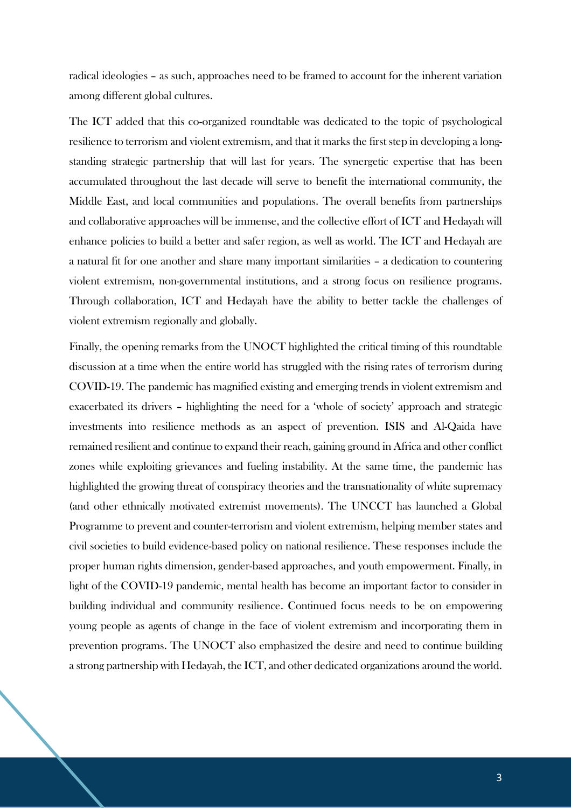radical ideologies – as such, approaches need to be framed to account for the inherent variation among different global cultures.

The ICT added that this co-organized roundtable was dedicated to the topic of psychological resilience to terrorism and violent extremism, and that it marks the first step in developing a longstanding strategic partnership that will last for years. The synergetic expertise that has been accumulated throughout the last decade will serve to benefit the international community, the Middle East, and local communities and populations. The overall benefits from partnerships and collaborative approaches will be immense, and the collective effort of ICT and Hedayah will enhance policies to build a better and safer region, as well as world. The ICT and Hedayah are a natural fit for one another and share many important similarities – a dedication to countering violent extremism, non-governmental institutions, and a strong focus on resilience programs. Through collaboration, ICT and Hedayah have the ability to better tackle the challenges of violent extremism regionally and globally.

Finally, the opening remarks from the UNOCT highlighted the critical timing of this roundtable discussion at a time when the entire world has struggled with the rising rates of terrorism during COVID-19. The pandemic has magnified existing and emerging trends in violent extremism and exacerbated its drivers – highlighting the need for a 'whole of society' approach and strategic investments into resilience methods as an aspect of prevention. ISIS and Al-Qaida have remained resilient and continue to expand their reach, gaining ground in Africa and other conflict zones while exploiting grievances and fueling instability. At the same time, the pandemic has highlighted the growing threat of conspiracy theories and the transnationality of white supremacy (and other ethnically motivated extremist movements). The UNCCT has launched a Global Programme to prevent and counter-terrorism and violent extremism, helping member states and civil societies to build evidence-based policy on national resilience. These responses include the proper human rights dimension, gender-based approaches, and youth empowerment. Finally, in light of the COVID-19 pandemic, mental health has become an important factor to consider in building individual and community resilience. Continued focus needs to be on empowering young people as agents of change in the face of violent extremism and incorporating them in prevention programs. The UNOCT also emphasized the desire and need to continue building a strong partnership with Hedayah, the ICT, and other dedicated organizations around the world.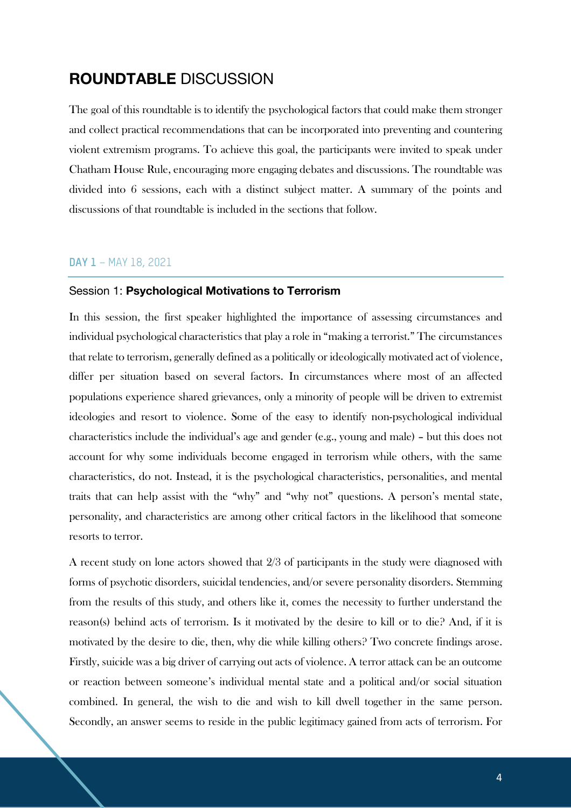# **ROUNDTABLE** DISCUSSION

The goal of this roundtable is to identify the psychological factors that could make them stronger and collect practical recommendations that can be incorporated into preventing and countering violent extremism programs. To achieve this goal, the participants were invited to speak under Chatham House Rule, encouraging more engaging debates and discussions. The roundtable was divided into 6 sessions, each with a distinct subject matter. A summary of the points and discussions of that roundtable is included in the sections that follow.

#### **DAY 1** – MAY 18, 2021

#### Session 1: **Psychological Motivations to Terrorism**

In this session, the first speaker highlighted the importance of assessing circumstances and individual psychological characteristics that play a role in "making a terrorist." The circumstances that relate to terrorism, generally defined as a politically or ideologically motivated act of violence, differ per situation based on several factors. In circumstances where most of an affected populations experience shared grievances, only a minority of people will be driven to extremist ideologies and resort to violence. Some of the easy to identify non-psychological individual characteristics include the individual's age and gender (e.g., young and male) – but this does not account for why some individuals become engaged in terrorism while others, with the same characteristics, do not. Instead, it is the psychological characteristics, personalities, and mental traits that can help assist with the "why" and "why not" questions. A person's mental state, personality, and characteristics are among other critical factors in the likelihood that someone resorts to terror.

A recent study on lone actors showed that 2/3 of participants in the study were diagnosed with forms of psychotic disorders, suicidal tendencies, and/or severe personality disorders. Stemming from the results of this study, and others like it, comes the necessity to further understand the reason(s) behind acts of terrorism. Is it motivated by the desire to kill or to die? And, if it is motivated by the desire to die, then, why die while killing others? Two concrete findings arose. Firstly, suicide was a big driver of carrying out acts of violence. A terror attack can be an outcome or reaction between someone's individual mental state and a political and/or social situation combined. In general, the wish to die and wish to kill dwell together in the same person. Secondly, an answer seems to reside in the public legitimacy gained from acts of terrorism. For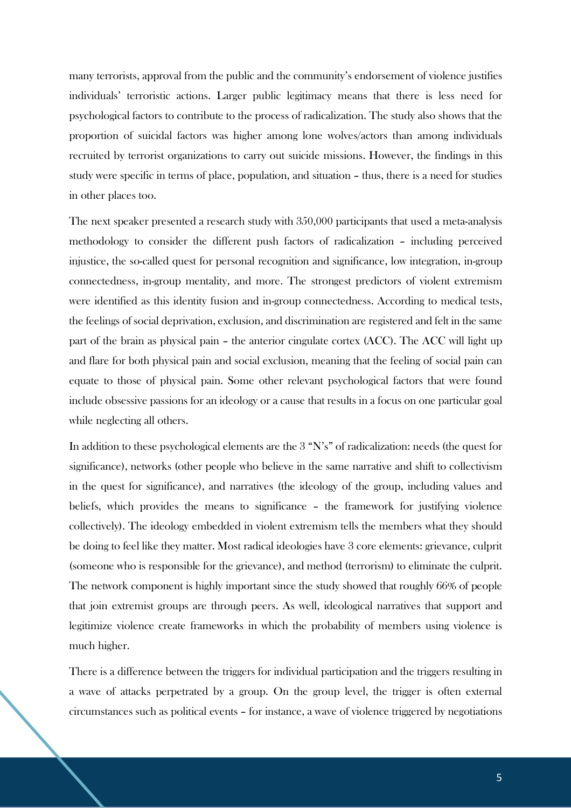many terrorists, approval from the public and the community's endorsement of violence justifies individuals' terroristic actions. Larger public legitimacy means that there is less need for psychological factors to contribute to the process of radicalization. The study also shows that the proportion of suicidal factors was higher among lone wolves/actors than among individuals recruited by terrorist organizations to carry out suicide missions. However, the findings in this study were specific in terms of place, population, and situation – thus, there is a need for studies in other places too.

The next speaker presented a research study with 350,000 participants that used a meta-analysis methodology to consider the different push factors of radicalization – including perceived injustice, the so-called quest for personal recognition and significance, low integration, in-group connectedness, in-group mentality, and more. The strongest predictors of violent extremism were identified as this identity fusion and in-group connectedness. According to medical tests, the feelings of social deprivation, exclusion, and discrimination are registered and felt in the same part of the brain as physical pain – the anterior cingulate cortex (ACC). The ACC will light up and flare for both physical pain and social exclusion, meaning that the feeling of social pain can equate to those of physical pain. Some other relevant psychological factors that were found include obsessive passions for an ideology or a cause that results in a focus on one particular goal while neglecting all others.

In addition to these psychological elements are the 3 "N's" of radicalization: needs (the quest for significance), networks (other people who believe in the same narrative and shift to collectivism in the quest for significance), and narratives (the ideology of the group, including values and beliefs, which provides the means to significance – the framework for justifying violence collectively). The ideology embedded in violent extremism tells the members what they should be doing to feel like they matter. Most radical ideologies have 3 core elements: grievance, culprit (someone who is responsible for the grievance), and method (terrorism) to eliminate the culprit. The network component is highly important since the study showed that roughly 66% of people that join extremist groups are through peers. As well, ideological narratives that support and legitimize violence create frameworks in which the probability of members using violence is much higher.

There is a difference between the triggers for individual participation and the triggers resulting in a wave of attacks perpetrated by a group. On the group level, the trigger is often external circumstances such as political events – for instance, a wave of violence triggered by negotiations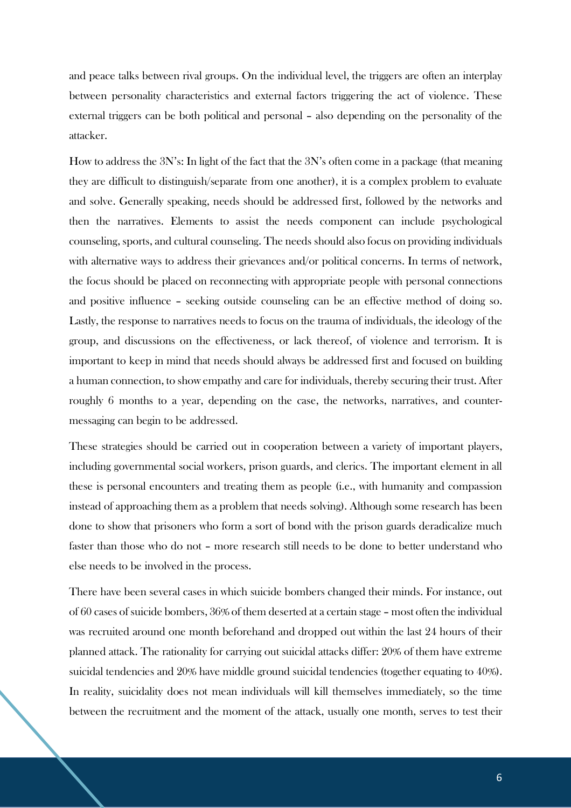and peace talks between rival groups. On the individual level, the triggers are often an interplay between personality characteristics and external factors triggering the act of violence. These external triggers can be both political and personal – also depending on the personality of the attacker.

How to address the 3N's: In light of the fact that the 3N's often come in a package (that meaning they are difficult to distinguish/separate from one another), it is a complex problem to evaluate and solve. Generally speaking, needs should be addressed first, followed by the networks and then the narratives. Elements to assist the needs component can include psychological counseling, sports, and cultural counseling. The needs should also focus on providing individuals with alternative ways to address their grievances and/or political concerns. In terms of network, the focus should be placed on reconnecting with appropriate people with personal connections and positive influence – seeking outside counseling can be an effective method of doing so. Lastly, the response to narratives needs to focus on the trauma of individuals, the ideology of the group, and discussions on the effectiveness, or lack thereof, of violence and terrorism. It is important to keep in mind that needs should always be addressed first and focused on building a human connection, to show empathy and care for individuals, thereby securing their trust. After roughly 6 months to a year, depending on the case, the networks, narratives, and countermessaging can begin to be addressed.

These strategies should be carried out in cooperation between a variety of important players, including governmental social workers, prison guards, and clerics. The important element in all these is personal encounters and treating them as people (i.e., with humanity and compassion instead of approaching them as a problem that needs solving). Although some research has been done to show that prisoners who form a sort of bond with the prison guards deradicalize much faster than those who do not – more research still needs to be done to better understand who else needs to be involved in the process.

There have been several cases in which suicide bombers changed their minds. For instance, out of 60 cases of suicide bombers, 36% of them deserted at a certain stage – most often the individual was recruited around one month beforehand and dropped out within the last 24 hours of their planned attack. The rationality for carrying out suicidal attacks differ: 20% of them have extreme suicidal tendencies and 20% have middle ground suicidal tendencies (together equating to 40%). In reality, suicidality does not mean individuals will kill themselves immediately, so the time between the recruitment and the moment of the attack, usually one month, serves to test their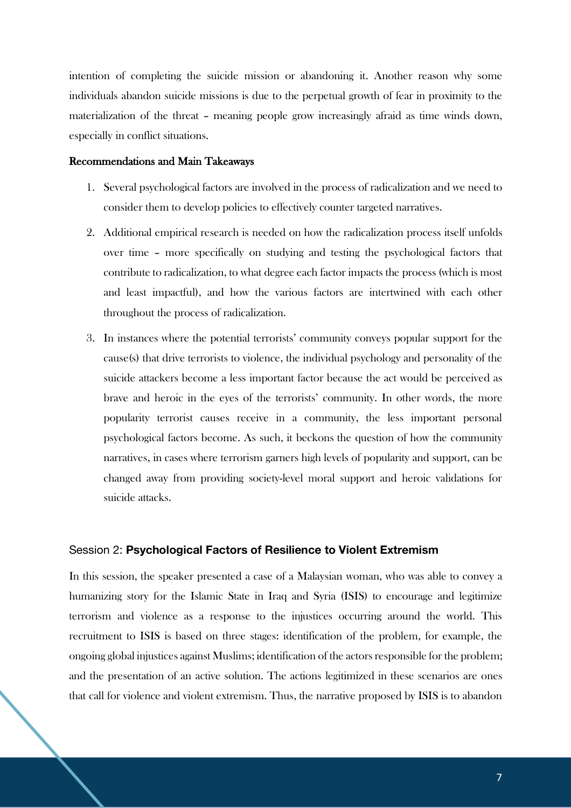intention of completing the suicide mission or abandoning it. Another reason why some individuals abandon suicide missions is due to the perpetual growth of fear in proximity to the materialization of the threat – meaning people grow increasingly afraid as time winds down, especially in conflict situations.

#### Recommendations and Main Takeaways

- 1. Several psychological factors are involved in the process of radicalization and we need to consider them to develop policies to effectively counter targeted narratives.
- 2. Additional empirical research is needed on how the radicalization process itself unfolds over time – more specifically on studying and testing the psychological factors that contribute to radicalization, to what degree each factor impacts the process (which is most and least impactful), and how the various factors are intertwined with each other throughout the process of radicalization.
- 3. In instances where the potential terrorists' community conveys popular support for the cause(s) that drive terrorists to violence, the individual psychology and personality of the suicide attackers become a less important factor because the act would be perceived as brave and heroic in the eyes of the terrorists' community. In other words, the more popularity terrorist causes receive in a community, the less important personal psychological factors become. As such, it beckons the question of how the community narratives, in cases where terrorism garners high levels of popularity and support, can be changed away from providing society-level moral support and heroic validations for suicide attacks.

#### Session 2: **Psychological Factors of Resilience to Violent Extremism**

In this session, the speaker presented a case of a Malaysian woman, who was able to convey a humanizing story for the Islamic State in Iraq and Syria (ISIS) to encourage and legitimize terrorism and violence as a response to the injustices occurring around the world. This recruitment to ISIS is based on three stages: identification of the problem, for example, the ongoing global injustices against Muslims; identification of the actors responsible for the problem; and the presentation of an active solution. The actions legitimized in these scenarios are ones that call for violence and violent extremism. Thus, the narrative proposed by ISIS is to abandon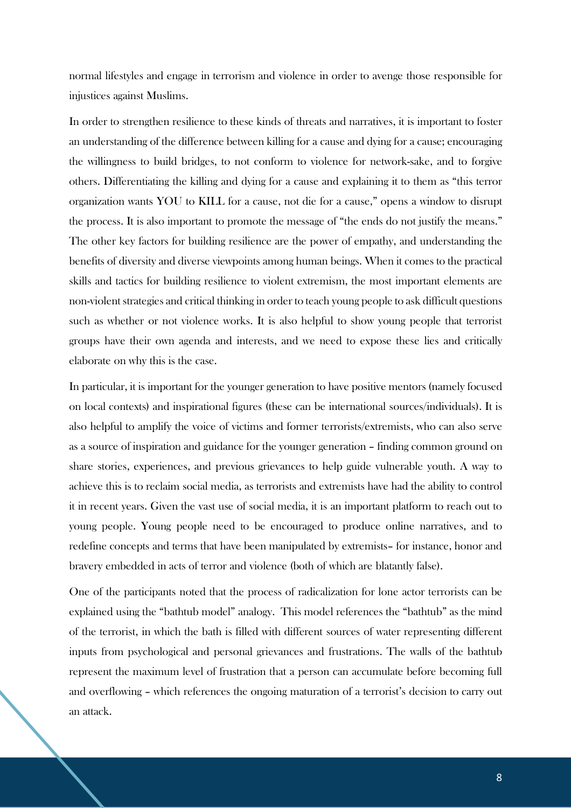normal lifestyles and engage in terrorism and violence in order to avenge those responsible for injustices against Muslims.

In order to strengthen resilience to these kinds of threats and narratives, it is important to foster an understanding of the difference between killing for a cause and dying for a cause; encouraging the willingness to build bridges, to not conform to violence for network-sake, and to forgive others. Differentiating the killing and dying for a cause and explaining it to them as "this terror organization wants YOU to KILL for a cause, not die for a cause," opens a window to disrupt the process. It is also important to promote the message of "the ends do not justify the means." The other key factors for building resilience are the power of empathy, and understanding the benefits of diversity and diverse viewpoints among human beings. When it comes to the practical skills and tactics for building resilience to violent extremism, the most important elements are non-violent strategies and critical thinking in order to teach young people to ask difficult questions such as whether or not violence works. It is also helpful to show young people that terrorist groups have their own agenda and interests, and we need to expose these lies and critically elaborate on why this is the case.

In particular, it is important for the younger generation to have positive mentors (namely focused on local contexts) and inspirational figures (these can be international sources/individuals). It is also helpful to amplify the voice of victims and former terrorists/extremists, who can also serve as a source of inspiration and guidance for the younger generation – finding common ground on share stories, experiences, and previous grievances to help guide vulnerable youth. A way to achieve this is to reclaim social media, as terrorists and extremists have had the ability to control it in recent years. Given the vast use of social media, it is an important platform to reach out to young people. Young people need to be encouraged to produce online narratives, and to redefine concepts and terms that have been manipulated by extremists– for instance, honor and bravery embedded in acts of terror and violence (both of which are blatantly false).

One of the participants noted that the process of radicalization for lone actor terrorists can be explained using the "bathtub model" analogy. This model references the "bathtub" as the mind of the terrorist, in which the bath is filled with different sources of water representing different inputs from psychological and personal grievances and frustrations. The walls of the bathtub represent the maximum level of frustration that a person can accumulate before becoming full and overflowing – which references the ongoing maturation of a terrorist's decision to carry out an attack.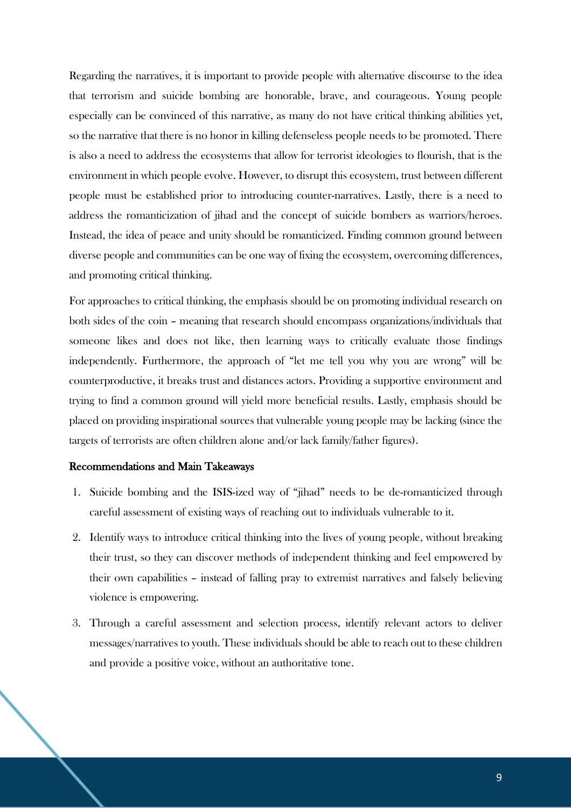Regarding the narratives, it is important to provide people with alternative discourse to the idea that terrorism and suicide bombing are honorable, brave, and courageous. Young people especially can be convinced of this narrative, as many do not have critical thinking abilities yet, so the narrative that there is no honor in killing defenseless people needs to be promoted. There is also a need to address the ecosystems that allow for terrorist ideologies to flourish, that is the environment in which people evolve. However, to disrupt this ecosystem, trust between different people must be established prior to introducing counter-narratives. Lastly, there is a need to address the romanticization of jihad and the concept of suicide bombers as warriors/heroes. Instead, the idea of peace and unity should be romanticized. Finding common ground between diverse people and communities can be one way of fixing the ecosystem, overcoming differences, and promoting critical thinking.

For approaches to critical thinking, the emphasis should be on promoting individual research on both sides of the coin – meaning that research should encompass organizations/individuals that someone likes and does not like, then learning ways to critically evaluate those findings independently. Furthermore, the approach of "let me tell you why you are wrong" will be counterproductive, it breaks trust and distances actors. Providing a supportive environment and trying to find a common ground will yield more beneficial results. Lastly, emphasis should be placed on providing inspirational sources that vulnerable young people may be lacking (since the targets of terrorists are often children alone and/or lack family/father figures).

## Recommendations and Main Takeaways

- 1. Suicide bombing and the ISIS-ized way of "jihad" needs to be de-romanticized through careful assessment of existing ways of reaching out to individuals vulnerable to it.
- 2. Identify ways to introduce critical thinking into the lives of young people, without breaking their trust, so they can discover methods of independent thinking and feel empowered by their own capabilities – instead of falling pray to extremist narratives and falsely believing violence is empowering.
- 3. Through a careful assessment and selection process, identify relevant actors to deliver messages/narratives to youth. These individuals should be able to reach out to these children and provide a positive voice, without an authoritative tone.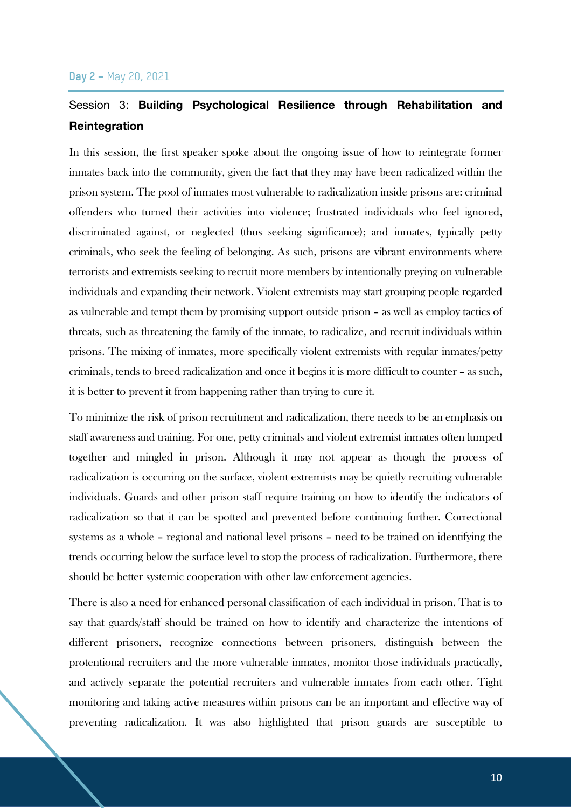## Session 3: **Building Psychological Resilience through Rehabilitation and Reintegration**

In this session, the first speaker spoke about the ongoing issue of how to reintegrate former inmates back into the community, given the fact that they may have been radicalized within the prison system. The pool of inmates most vulnerable to radicalization inside prisons are: criminal offenders who turned their activities into violence; frustrated individuals who feel ignored, discriminated against, or neglected (thus seeking significance); and inmates, typically petty criminals, who seek the feeling of belonging. As such, prisons are vibrant environments where terrorists and extremists seeking to recruit more members by intentionally preying on vulnerable individuals and expanding their network. Violent extremists may start grouping people regarded as vulnerable and tempt them by promising support outside prison – as well as employ tactics of threats, such as threatening the family of the inmate, to radicalize, and recruit individuals within prisons. The mixing of inmates, more specifically violent extremists with regular inmates/petty criminals, tends to breed radicalization and once it begins it is more difficult to counter – as such, it is better to prevent it from happening rather than trying to cure it.

To minimize the risk of prison recruitment and radicalization, there needs to be an emphasis on staff awareness and training. For one, petty criminals and violent extremist inmates often lumped together and mingled in prison. Although it may not appear as though the process of radicalization is occurring on the surface, violent extremists may be quietly recruiting vulnerable individuals. Guards and other prison staff require training on how to identify the indicators of radicalization so that it can be spotted and prevented before continuing further. Correctional systems as a whole – regional and national level prisons – need to be trained on identifying the trends occurring below the surface level to stop the process of radicalization. Furthermore, there should be better systemic cooperation with other law enforcement agencies.

There is also a need for enhanced personal classification of each individual in prison. That is to say that guards/staff should be trained on how to identify and characterize the intentions of different prisoners, recognize connections between prisoners, distinguish between the protentional recruiters and the more vulnerable inmates, monitor those individuals practically, and actively separate the potential recruiters and vulnerable inmates from each other. Tight monitoring and taking active measures within prisons can be an important and effective way of preventing radicalization. It was also highlighted that prison guards are susceptible to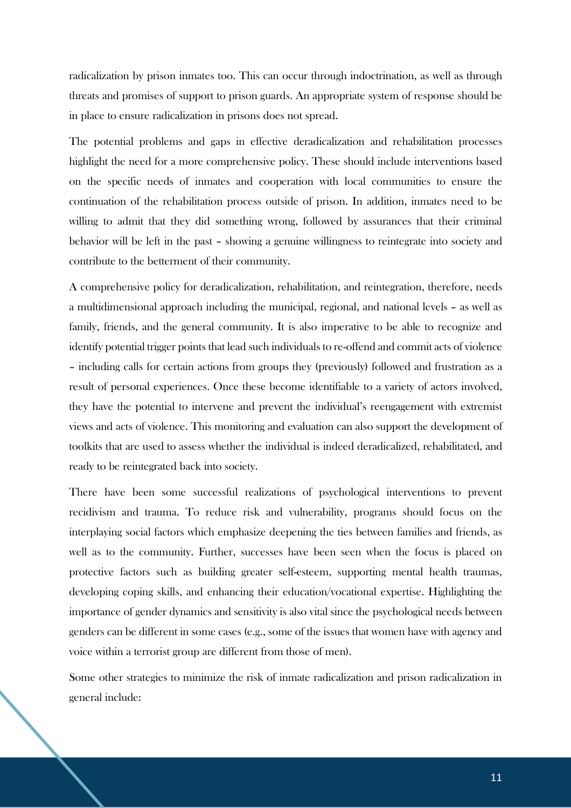radicalization by prison inmates too. This can occur through indoctrination, as well as through threats and promises of support to prison guards. An appropriate system of response should be in place to ensure radicalization in prisons does not spread.

The potential problems and gaps in effective deradicalization and rehabilitation processes highlight the need for a more comprehensive policy. These should include interventions based on the specific needs of inmates and cooperation with local communities to ensure the continuation of the rehabilitation process outside of prison. In addition, inmates need to be willing to admit that they did something wrong, followed by assurances that their criminal behavior will be left in the past – showing a genuine willingness to reintegrate into society and contribute to the betterment of their community.

A comprehensive policy for deradicalization, rehabilitation, and reintegration, therefore, needs a multidimensional approach including the municipal, regional, and national levels – as well as family, friends, and the general community. It is also imperative to be able to recognize and identify potential trigger points that lead such individuals to re-offend and commit acts of violence – including calls for certain actions from groups they (previously) followed and frustration as a result of personal experiences. Once these become identifiable to a variety of actors involved, they have the potential to intervene and prevent the individual's reengagement with extremist views and acts of violence. This monitoring and evaluation can also support the development of toolkits that are used to assess whether the individual is indeed deradicalized, rehabilitated, and ready to be reintegrated back into society.

There have been some successful realizations of psychological interventions to prevent recidivism and trauma. To reduce risk and vulnerability, programs should focus on the interplaying social factors which emphasize deepening the ties between families and friends, as well as to the community. Further, successes have been seen when the focus is placed on protective factors such as building greater self-esteem, supporting mental health traumas, developing coping skills, and enhancing their education/vocational expertise. Highlighting the importance of gender dynamics and sensitivity is also vital since the psychological needs between genders can be different in some cases (e.g., some of the issues that women have with agency and voice within a terrorist group are different from those of men).

Some other strategies to minimize the risk of inmate radicalization and prison radicalization in general include: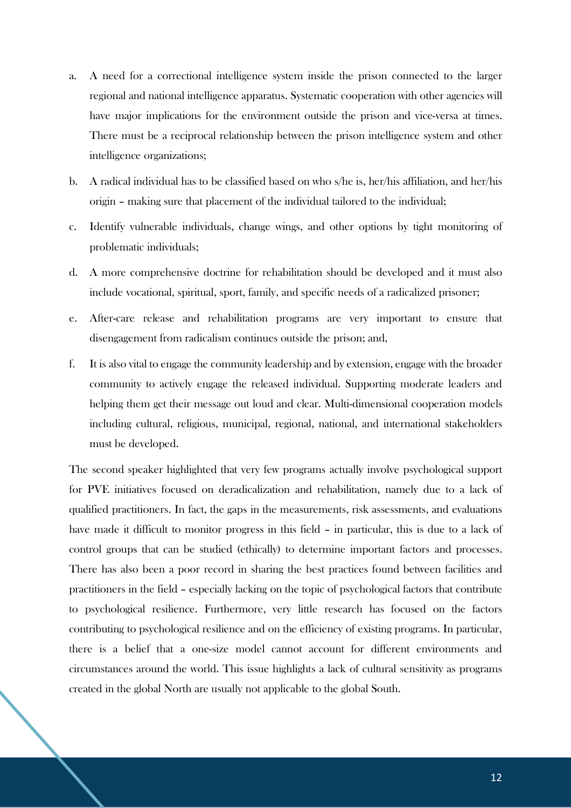- a. A need for a correctional intelligence system inside the prison connected to the larger regional and national intelligence apparatus. Systematic cooperation with other agencies will have major implications for the environment outside the prison and vice-versa at times. There must be a reciprocal relationship between the prison intelligence system and other intelligence organizations;
- b. A radical individual has to be classified based on who s/he is, her/his affiliation, and her/his origin – making sure that placement of the individual tailored to the individual;
- c. Identify vulnerable individuals, change wings, and other options by tight monitoring of problematic individuals;
- d. A more comprehensive doctrine for rehabilitation should be developed and it must also include vocational, spiritual, sport, family, and specific needs of a radicalized prisoner;
- e. After-care release and rehabilitation programs are very important to ensure that disengagement from radicalism continues outside the prison; and,
- f. It is also vital to engage the community leadership and by extension, engage with the broader community to actively engage the released individual. Supporting moderate leaders and helping them get their message out loud and clear. Multi-dimensional cooperation models including cultural, religious, municipal, regional, national, and international stakeholders must be developed.

The second speaker highlighted that very few programs actually involve psychological support for PVE initiatives focused on deradicalization and rehabilitation, namely due to a lack of qualified practitioners. In fact, the gaps in the measurements, risk assessments, and evaluations have made it difficult to monitor progress in this field – in particular, this is due to a lack of control groups that can be studied (ethically) to determine important factors and processes. There has also been a poor record in sharing the best practices found between facilities and practitioners in the field – especially lacking on the topic of psychological factors that contribute to psychological resilience. Furthermore, very little research has focused on the factors contributing to psychological resilience and on the efficiency of existing programs. In particular, there is a belief that a one-size model cannot account for different environments and circumstances around the world. This issue highlights a lack of cultural sensitivity as programs created in the global North are usually not applicable to the global South.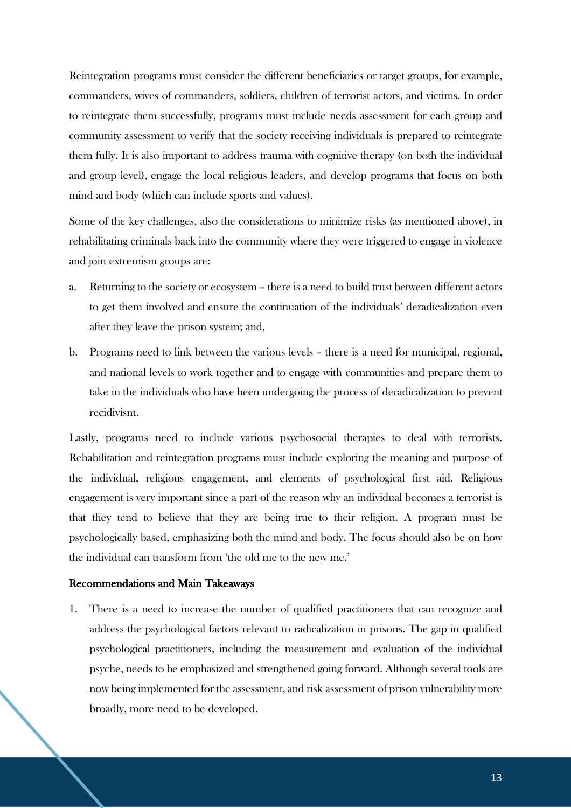Reintegration programs must consider the different beneficiaries or target groups, for example, commanders, wives of commanders, soldiers, children of terrorist actors, and victims. In order to reintegrate them successfully, programs must include needs assessment for each group and community assessment to verify that the society receiving individuals is prepared to reintegrate them fully. It is also important to address trauma with cognitive therapy (on both the individual and group level), engage the local religious leaders, and develop programs that focus on both mind and body (which can include sports and values).

Some of the key challenges, also the considerations to minimize risks (as mentioned above), in rehabilitating criminals back into the community where they were triggered to engage in violence and join extremism groups are:

- a. Returning to the society or ecosystem there is a need to build trust between different actors to get them involved and ensure the continuation of the individuals' deradicalization even after they leave the prison system; and,
- b. Programs need to link between the various levels there is a need for municipal, regional, and national levels to work together and to engage with communities and prepare them to take in the individuals who have been undergoing the process of deradicalization to prevent recidivism.

Lastly, programs need to include various psychosocial therapies to deal with terrorists. Rehabilitation and reintegration programs must include exploring the meaning and purpose of the individual, religious engagement, and elements of psychological first aid. Religious engagement is very important since a part of the reason why an individual becomes a terrorist is that they tend to believe that they are being true to their religion. A program must be psychologically based, emphasizing both the mind and body. The focus should also be on how the individual can transform from 'the old me to the new me.'

#### Recommendations and Main Takeaways

1. There is a need to increase the number of qualified practitioners that can recognize and address the psychological factors relevant to radicalization in prisons. The gap in qualified psychological practitioners, including the measurement and evaluation of the individual psyche, needs to be emphasized and strengthened going forward. Although several tools are now being implemented for the assessment, and risk assessment of prison vulnerability more broadly, more need to be developed.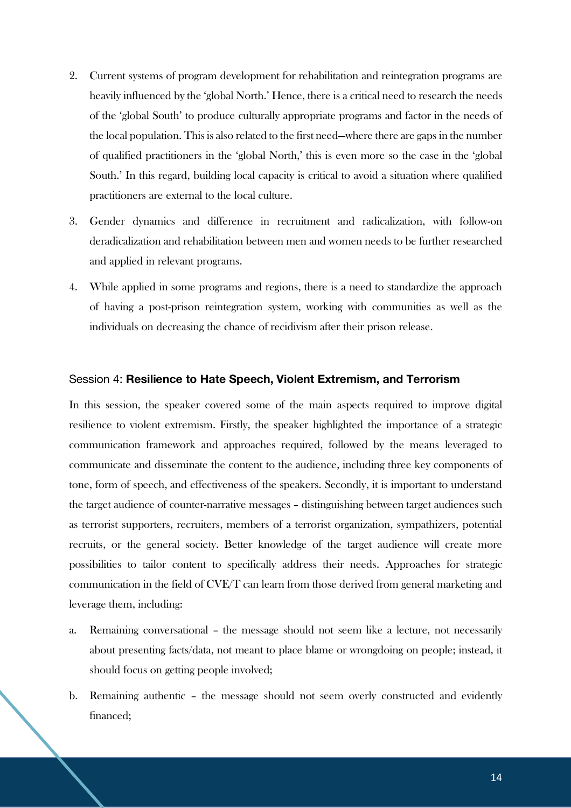- 2. Current systems of program development for rehabilitation and reintegration programs are heavily influenced by the 'global North.' Hence, there is a critical need to research the needs of the 'global South' to produce culturally appropriate programs and factor in the needs of the local population. This is also related to the first need—where there are gaps in the number of qualified practitioners in the 'global North,' this is even more so the case in the 'global South.' In this regard, building local capacity is critical to avoid a situation where qualified practitioners are external to the local culture.
- 3. Gender dynamics and difference in recruitment and radicalization, with follow-on deradicalization and rehabilitation between men and women needs to be further researched and applied in relevant programs.
- 4. While applied in some programs and regions, there is a need to standardize the approach of having a post-prison reintegration system, working with communities as well as the individuals on decreasing the chance of recidivism after their prison release.

#### Session 4: **Resilience to Hate Speech, Violent Extremism, and Terrorism**

In this session, the speaker covered some of the main aspects required to improve digital resilience to violent extremism. Firstly, the speaker highlighted the importance of a strategic communication framework and approaches required, followed by the means leveraged to communicate and disseminate the content to the audience, including three key components of tone, form of speech, and effectiveness of the speakers. Secondly, it is important to understand the target audience of counter-narrative messages – distinguishing between target audiences such as terrorist supporters, recruiters, members of a terrorist organization, sympathizers, potential recruits, or the general society. Better knowledge of the target audience will create more possibilities to tailor content to specifically address their needs. Approaches for strategic communication in the field of CVE/T can learn from those derived from general marketing and leverage them, including:

- a. Remaining conversational the message should not seem like a lecture, not necessarily about presenting facts/data, not meant to place blame or wrongdoing on people; instead, it should focus on getting people involved;
- b. Remaining authentic the message should not seem overly constructed and evidently financed;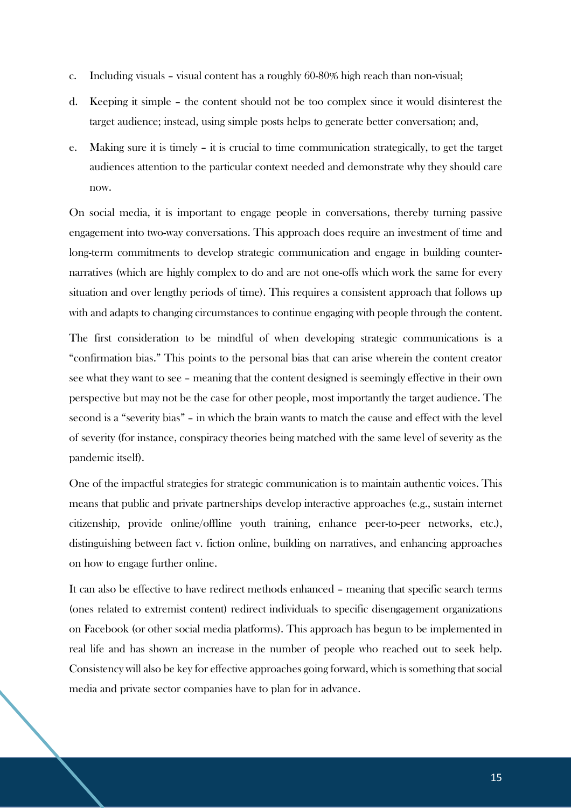- c. Including visuals visual content has a roughly 60-80% high reach than non-visual;
- d. Keeping it simple the content should not be too complex since it would disinterest the target audience; instead, using simple posts helps to generate better conversation; and,
- e. Making sure it is timely it is crucial to time communication strategically, to get the target audiences attention to the particular context needed and demonstrate why they should care now.

On social media, it is important to engage people in conversations, thereby turning passive engagement into two-way conversations. This approach does require an investment of time and long-term commitments to develop strategic communication and engage in building counternarratives (which are highly complex to do and are not one-offs which work the same for every situation and over lengthy periods of time). This requires a consistent approach that follows up with and adapts to changing circumstances to continue engaging with people through the content.

The first consideration to be mindful of when developing strategic communications is a "confirmation bias." This points to the personal bias that can arise wherein the content creator see what they want to see – meaning that the content designed is seemingly effective in their own perspective but may not be the case for other people, most importantly the target audience. The second is a "severity bias" – in which the brain wants to match the cause and effect with the level of severity (for instance, conspiracy theories being matched with the same level of severity as the pandemic itself).

One of the impactful strategies for strategic communication is to maintain authentic voices. This means that public and private partnerships develop interactive approaches (e.g., sustain internet citizenship, provide online/offline youth training, enhance peer-to-peer networks, etc.), distinguishing between fact v. fiction online, building on narratives, and enhancing approaches on how to engage further online.

It can also be effective to have redirect methods enhanced – meaning that specific search terms (ones related to extremist content) redirect individuals to specific disengagement organizations on Facebook (or other social media platforms). This approach has begun to be implemented in real life and has shown an increase in the number of people who reached out to seek help. Consistency will also be key for effective approaches going forward, which is something that social media and private sector companies have to plan for in advance.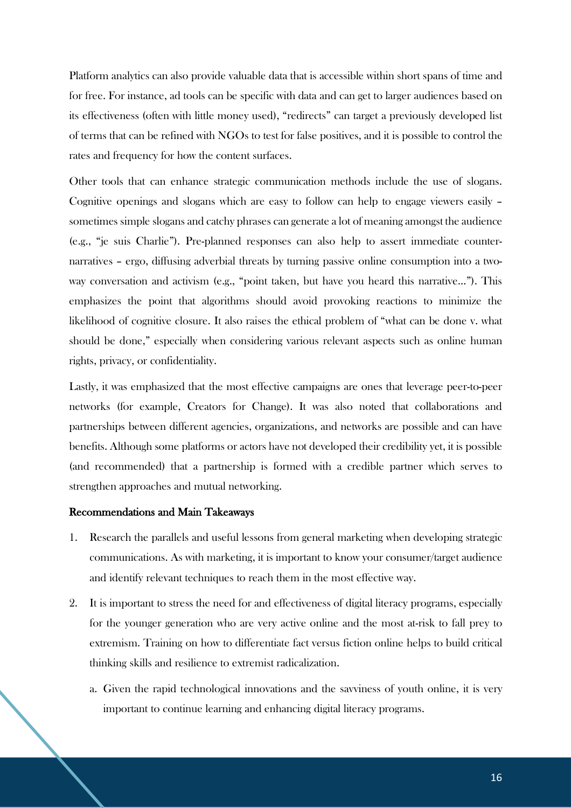Platform analytics can also provide valuable data that is accessible within short spans of time and for free. For instance, ad tools can be specific with data and can get to larger audiences based on its effectiveness (often with little money used), "redirects" can target a previously developed list of terms that can be refined with NGOs to test for false positives, and it is possible to control the rates and frequency for how the content surfaces.

Other tools that can enhance strategic communication methods include the use of slogans. Cognitive openings and slogans which are easy to follow can help to engage viewers easily – sometimes simple slogans and catchy phrases can generate a lot of meaning amongst the audience (e.g., "je suis Charlie"). Pre-planned responses can also help to assert immediate counternarratives – ergo, diffusing adverbial threats by turning passive online consumption into a twoway conversation and activism (e.g., "point taken, but have you heard this narrative…"). This emphasizes the point that algorithms should avoid provoking reactions to minimize the likelihood of cognitive closure. It also raises the ethical problem of "what can be done v. what should be done," especially when considering various relevant aspects such as online human rights, privacy, or confidentiality.

Lastly, it was emphasized that the most effective campaigns are ones that leverage peer-to-peer networks (for example, Creators for Change). It was also noted that collaborations and partnerships between different agencies, organizations, and networks are possible and can have benefits. Although some platforms or actors have not developed their credibility yet, it is possible (and recommended) that a partnership is formed with a credible partner which serves to strengthen approaches and mutual networking.

#### Recommendations and Main Takeaways

- 1. Research the parallels and useful lessons from general marketing when developing strategic communications. As with marketing, it is important to know your consumer/target audience and identify relevant techniques to reach them in the most effective way.
- 2. It is important to stress the need for and effectiveness of digital literacy programs, especially for the younger generation who are very active online and the most at-risk to fall prey to extremism. Training on how to differentiate fact versus fiction online helps to build critical thinking skills and resilience to extremist radicalization.
	- a. Given the rapid technological innovations and the savviness of youth online, it is very important to continue learning and enhancing digital literacy programs.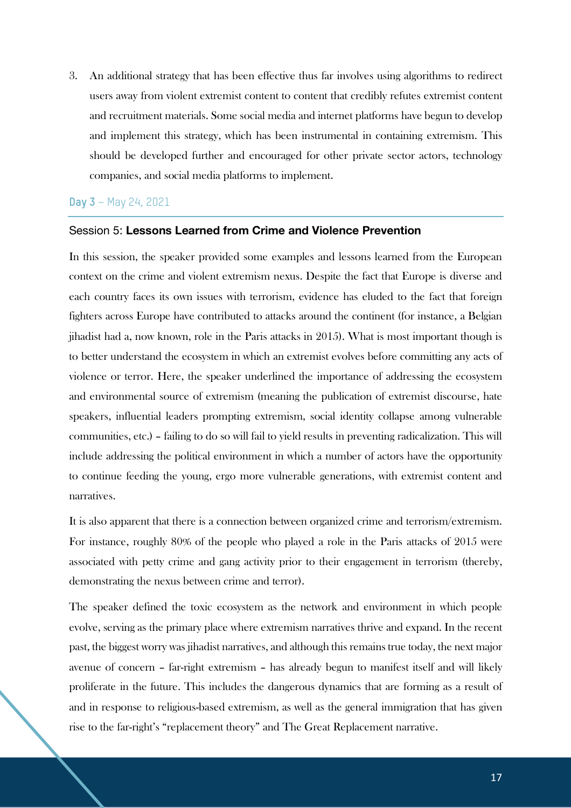3. An additional strategy that has been effective thus far involves using algorithms to redirect users away from violent extremist content to content that credibly refutes extremist content and recruitment materials. Some social media and internet platforms have begun to develop and implement this strategy, which has been instrumental in containing extremism. This should be developed further and encouraged for other private sector actors, technology companies, and social media platforms to implement.

## **Day 3** – May 24, 2021

#### Session 5: **Lessons Learned from Crime and Violence Prevention**

In this session, the speaker provided some examples and lessons learned from the European context on the crime and violent extremism nexus. Despite the fact that Europe is diverse and each country faces its own issues with terrorism, evidence has eluded to the fact that foreign fighters across Europe have contributed to attacks around the continent (for instance, a Belgian jihadist had a, now known, role in the Paris attacks in 2015). What is most important though is to better understand the ecosystem in which an extremist evolves before committing any acts of violence or terror. Here, the speaker underlined the importance of addressing the ecosystem and environmental source of extremism (meaning the publication of extremist discourse, hate speakers, influential leaders prompting extremism, social identity collapse among vulnerable communities, etc.) – failing to do so will fail to yield results in preventing radicalization. This will include addressing the political environment in which a number of actors have the opportunity to continue feeding the young, ergo more vulnerable generations, with extremist content and narratives.

It is also apparent that there is a connection between organized crime and terrorism/extremism. For instance, roughly 80% of the people who played a role in the Paris attacks of 2015 were associated with petty crime and gang activity prior to their engagement in terrorism (thereby, demonstrating the nexus between crime and terror).

The speaker defined the toxic ecosystem as the network and environment in which people evolve, serving as the primary place where extremism narratives thrive and expand. In the recent past, the biggest worry was jihadist narratives, and although this remains true today, the next major avenue of concern – far-right extremism – has already begun to manifest itself and will likely proliferate in the future. This includes the dangerous dynamics that are forming as a result of and in response to religious-based extremism, as well as the general immigration that has given rise to the far-right's "replacement theory" and The Great Replacement narrative.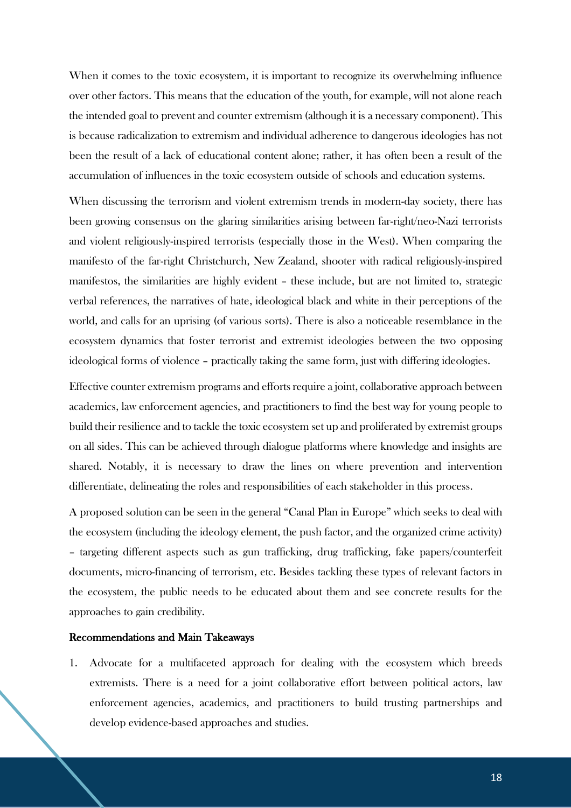When it comes to the toxic ecosystem, it is important to recognize its overwhelming influence over other factors. This means that the education of the youth, for example, will not alone reach the intended goal to prevent and counter extremism (although it is a necessary component). This is because radicalization to extremism and individual adherence to dangerous ideologies has not been the result of a lack of educational content alone; rather, it has often been a result of the accumulation of influences in the toxic ecosystem outside of schools and education systems.

When discussing the terrorism and violent extremism trends in modern-day society, there has been growing consensus on the glaring similarities arising between far-right/neo-Nazi terrorists and violent religiously-inspired terrorists (especially those in the West). When comparing the manifesto of the far-right Christchurch, New Zealand, shooter with radical religiously-inspired manifestos, the similarities are highly evident – these include, but are not limited to, strategic verbal references, the narratives of hate, ideological black and white in their perceptions of the world, and calls for an uprising (of various sorts). There is also a noticeable resemblance in the ecosystem dynamics that foster terrorist and extremist ideologies between the two opposing ideological forms of violence – practically taking the same form, just with differing ideologies.

Effective counter extremism programs and efforts require a joint, collaborative approach between academics, law enforcement agencies, and practitioners to find the best way for young people to build their resilience and to tackle the toxic ecosystem set up and proliferated by extremist groups on all sides. This can be achieved through dialogue platforms where knowledge and insights are shared. Notably, it is necessary to draw the lines on where prevention and intervention differentiate, delineating the roles and responsibilities of each stakeholder in this process.

A proposed solution can be seen in the general "Canal Plan in Europe" which seeks to deal with the ecosystem (including the ideology element, the push factor, and the organized crime activity) – targeting different aspects such as gun trafficking, drug trafficking, fake papers/counterfeit documents, micro-financing of terrorism, etc. Besides tackling these types of relevant factors in the ecosystem, the public needs to be educated about them and see concrete results for the approaches to gain credibility.

## Recommendations and Main Takeaways

1. Advocate for a multifaceted approach for dealing with the ecosystem which breeds extremists. There is a need for a joint collaborative effort between political actors, law enforcement agencies, academics, and practitioners to build trusting partnerships and develop evidence-based approaches and studies.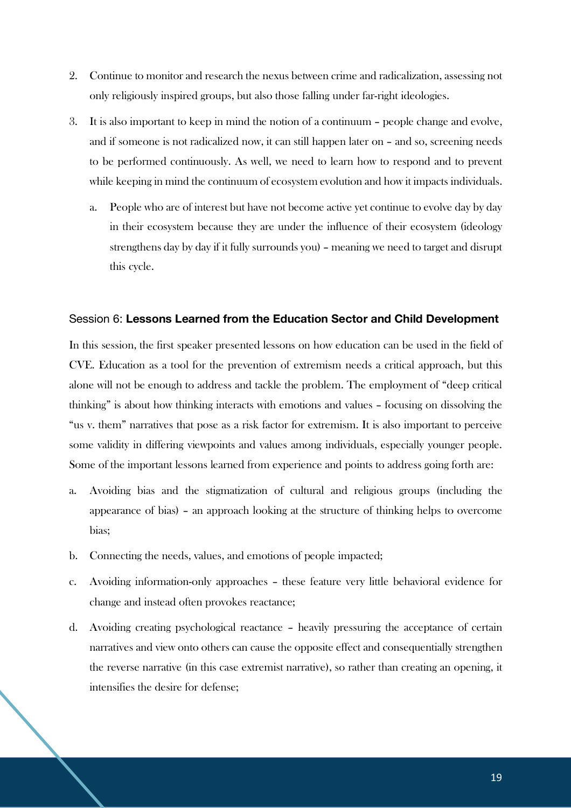- 2. Continue to monitor and research the nexus between crime and radicalization, assessing not only religiously inspired groups, but also those falling under far-right ideologies.
- 3. It is also important to keep in mind the notion of a continuum people change and evolve, and if someone is not radicalized now, it can still happen later on – and so, screening needs to be performed continuously. As well, we need to learn how to respond and to prevent while keeping in mind the continuum of ecosystem evolution and how it impacts individuals.
	- a. People who are of interest but have not become active yet continue to evolve day by day in their ecosystem because they are under the influence of their ecosystem (ideology strengthens day by day if it fully surrounds you) – meaning we need to target and disrupt this cycle.

#### Session 6: **Lessons Learned from the Education Sector and Child Development**

In this session, the first speaker presented lessons on how education can be used in the field of CVE. Education as a tool for the prevention of extremism needs a critical approach, but this alone will not be enough to address and tackle the problem. The employment of "deep critical thinking" is about how thinking interacts with emotions and values – focusing on dissolving the "us v. them" narratives that pose as a risk factor for extremism. It is also important to perceive some validity in differing viewpoints and values among individuals, especially younger people. Some of the important lessons learned from experience and points to address going forth are:

- a. Avoiding bias and the stigmatization of cultural and religious groups (including the appearance of bias) – an approach looking at the structure of thinking helps to overcome bias;
- b. Connecting the needs, values, and emotions of people impacted;
- c. Avoiding information-only approaches these feature very little behavioral evidence for change and instead often provokes reactance;
- d. Avoiding creating psychological reactance heavily pressuring the acceptance of certain narratives and view onto others can cause the opposite effect and consequentially strengthen the reverse narrative (in this case extremist narrative), so rather than creating an opening, it intensifies the desire for defense;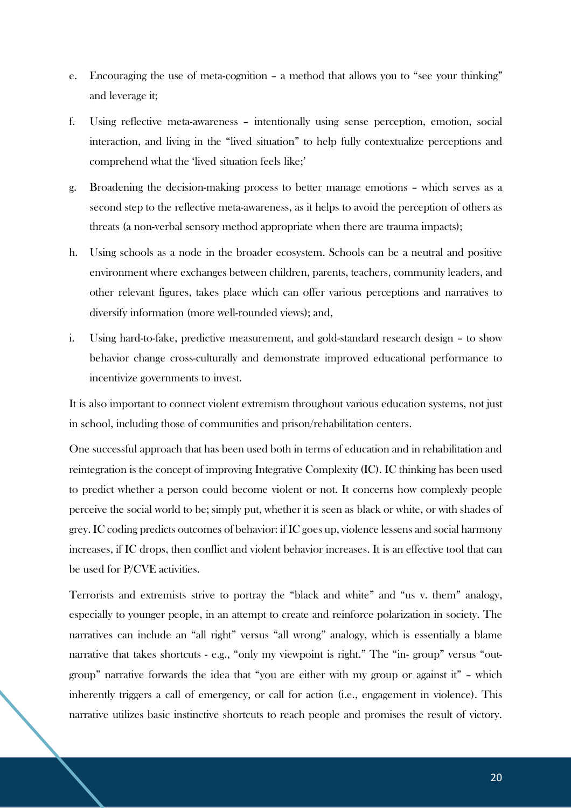- e. Encouraging the use of meta-cognition a method that allows you to "see your thinking" and leverage it;
- f. Using reflective meta-awareness intentionally using sense perception, emotion, social interaction, and living in the "lived situation" to help fully contextualize perceptions and comprehend what the 'lived situation feels like;'
- g. Broadening the decision-making process to better manage emotions which serves as a second step to the reflective meta-awareness, as it helps to avoid the perception of others as threats (a non-verbal sensory method appropriate when there are trauma impacts);
- h. Using schools as a node in the broader ecosystem. Schools can be a neutral and positive environment where exchanges between children, parents, teachers, community leaders, and other relevant figures, takes place which can offer various perceptions and narratives to diversify information (more well-rounded views); and,
- i. Using hard-to-fake, predictive measurement, and gold-standard research design to show behavior change cross-culturally and demonstrate improved educational performance to incentivize governments to invest.

It is also important to connect violent extremism throughout various education systems, not just in school, including those of communities and prison/rehabilitation centers.

One successful approach that has been used both in terms of education and in rehabilitation and reintegration is the concept of improving Integrative Complexity (IC). IC thinking has been used to predict whether a person could become violent or not. It concerns how complexly people perceive the social world to be; simply put, whether it is seen as black or white, or with shades of grey. IC coding predicts outcomes of behavior: if IC goes up, violence lessens and social harmony increases, if IC drops, then conflict and violent behavior increases. It is an effective tool that can be used for P/CVE activities.

Terrorists and extremists strive to portray the "black and white" and "us v. them" analogy, especially to younger people, in an attempt to create and reinforce polarization in society. The narratives can include an "all right" versus "all wrong" analogy, which is essentially a blame narrative that takes shortcuts - e.g., "only my viewpoint is right." The "in- group" versus "outgroup" narrative forwards the idea that "you are either with my group or against it" – which inherently triggers a call of emergency, or call for action (i.e., engagement in violence). This narrative utilizes basic instinctive shortcuts to reach people and promises the result of victory.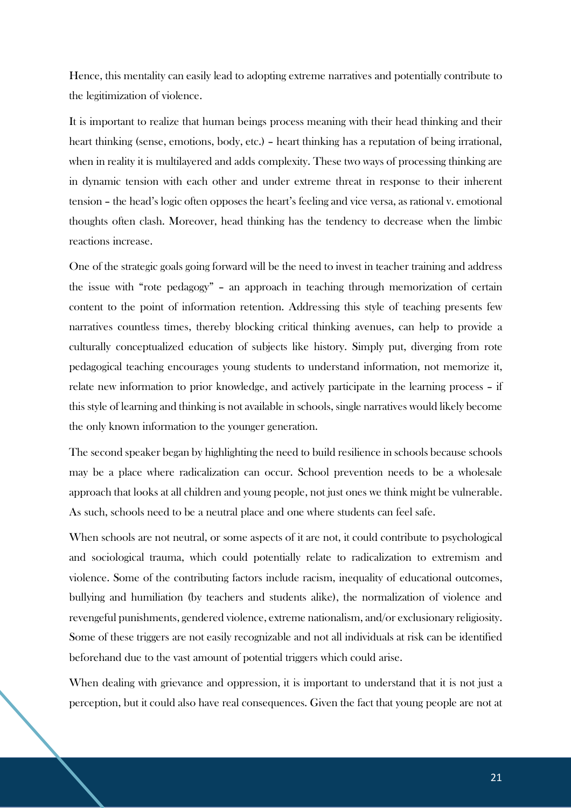Hence, this mentality can easily lead to adopting extreme narratives and potentially contribute to the legitimization of violence.

It is important to realize that human beings process meaning with their head thinking and their heart thinking (sense, emotions, body, etc.) – heart thinking has a reputation of being irrational, when in reality it is multilayered and adds complexity. These two ways of processing thinking are in dynamic tension with each other and under extreme threat in response to their inherent tension – the head's logic often opposes the heart's feeling and vice versa, as rational v. emotional thoughts often clash. Moreover, head thinking has the tendency to decrease when the limbic reactions increase.

One of the strategic goals going forward will be the need to invest in teacher training and address the issue with "rote pedagogy" – an approach in teaching through memorization of certain content to the point of information retention. Addressing this style of teaching presents few narratives countless times, thereby blocking critical thinking avenues, can help to provide a culturally conceptualized education of subjects like history. Simply put, diverging from rote pedagogical teaching encourages young students to understand information, not memorize it, relate new information to prior knowledge, and actively participate in the learning process – if this style of learning and thinking is not available in schools, single narratives would likely become the only known information to the younger generation.

The second speaker began by highlighting the need to build resilience in schools because schools may be a place where radicalization can occur. School prevention needs to be a wholesale approach that looks at all children and young people, not just ones we think might be vulnerable. As such, schools need to be a neutral place and one where students can feel safe.

When schools are not neutral, or some aspects of it are not, it could contribute to psychological and sociological trauma, which could potentially relate to radicalization to extremism and violence. Some of the contributing factors include racism, inequality of educational outcomes, bullying and humiliation (by teachers and students alike), the normalization of violence and revengeful punishments, gendered violence, extreme nationalism, and/or exclusionary religiosity. Some of these triggers are not easily recognizable and not all individuals at risk can be identified beforehand due to the vast amount of potential triggers which could arise.

When dealing with grievance and oppression, it is important to understand that it is not just a perception, but it could also have real consequences. Given the fact that young people are not at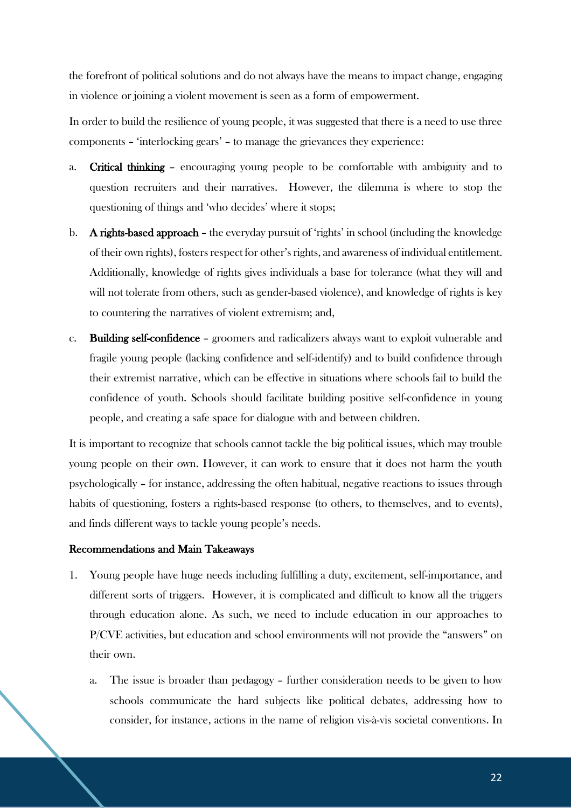the forefront of political solutions and do not always have the means to impact change, engaging in violence or joining a violent movement is seen as a form of empowerment.

In order to build the resilience of young people, it was suggested that there is a need to use three components – 'interlocking gears' – to manage the grievances they experience:

- a. Critical thinking encouraging young people to be comfortable with ambiguity and to question recruiters and their narratives. However, the dilemma is where to stop the questioning of things and 'who decides' where it stops;
- b. A rights-based approach the everyday pursuit of 'rights' in school (including the knowledge of their own rights), fosters respect for other's rights, and awareness of individual entitlement. Additionally, knowledge of rights gives individuals a base for tolerance (what they will and will not tolerate from others, such as gender-based violence), and knowledge of rights is key to countering the narratives of violent extremism; and,
- c. Building self-confidence groomers and radicalizers always want to exploit vulnerable and fragile young people (lacking confidence and self-identify) and to build confidence through their extremist narrative, which can be effective in situations where schools fail to build the confidence of youth. Schools should facilitate building positive self-confidence in young people, and creating a safe space for dialogue with and between children.

It is important to recognize that schools cannot tackle the big political issues, which may trouble young people on their own. However, it can work to ensure that it does not harm the youth psychologically – for instance, addressing the often habitual, negative reactions to issues through habits of questioning, fosters a rights-based response (to others, to themselves, and to events), and finds different ways to tackle young people's needs.

#### Recommendations and Main Takeaways

- 1. Young people have huge needs including fulfilling a duty, excitement, self-importance, and different sorts of triggers. However, it is complicated and difficult to know all the triggers through education alone. As such, we need to include education in our approaches to P/CVE activities, but education and school environments will not provide the "answers" on their own.
	- a. The issue is broader than pedagogy further consideration needs to be given to how schools communicate the hard subjects like political debates, addressing how to consider, for instance, actions in the name of religion vis-à-vis societal conventions. In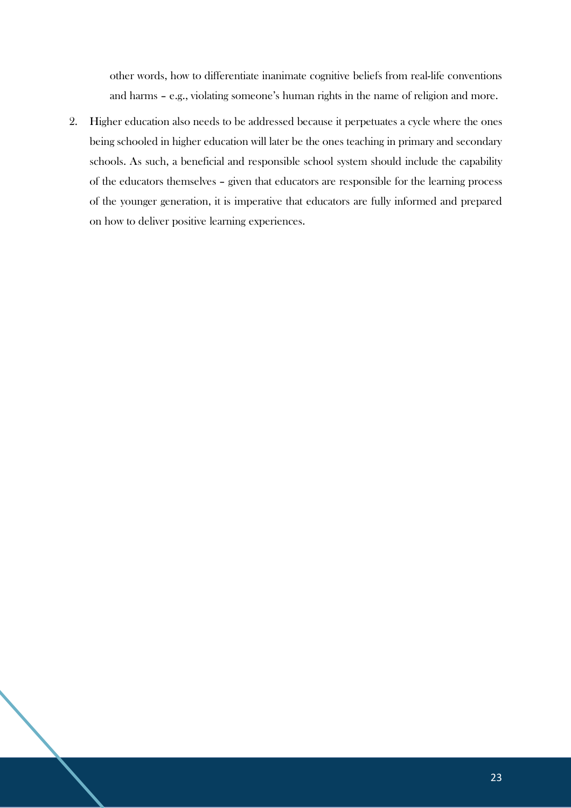other words, how to differentiate inanimate cognitive beliefs from real-life conventions and harms – e.g., violating someone's human rights in the name of religion and more.

2. Higher education also needs to be addressed because it perpetuates a cycle where the ones being schooled in higher education will later be the ones teaching in primary and secondary schools. As such, a beneficial and responsible school system should include the capability of the educators themselves – given that educators are responsible for the learning process of the younger generation, it is imperative that educators are fully informed and prepared on how to deliver positive learning experiences.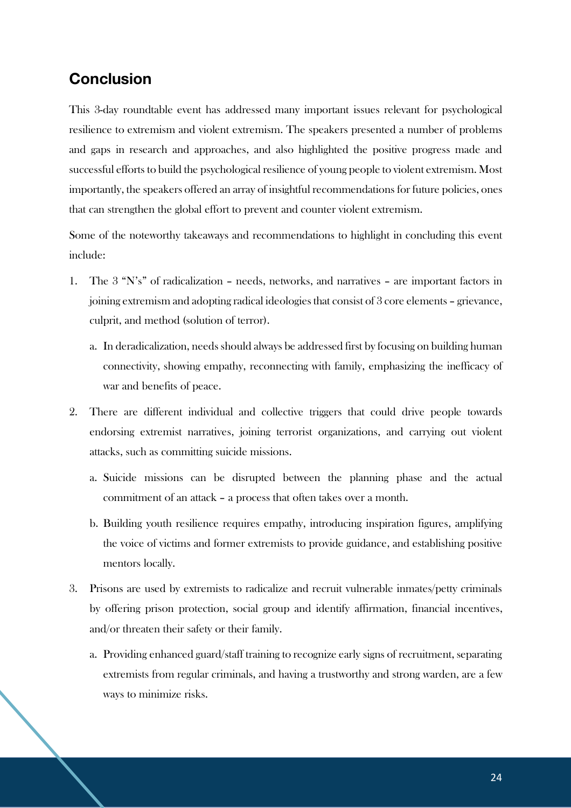# **Conclusion**

This 3-day roundtable event has addressed many important issues relevant for psychological resilience to extremism and violent extremism. The speakers presented a number of problems and gaps in research and approaches, and also highlighted the positive progress made and successful efforts to build the psychological resilience of young people to violent extremism. Most importantly, the speakers offered an array of insightful recommendations for future policies, ones that can strengthen the global effort to prevent and counter violent extremism.

Some of the noteworthy takeaways and recommendations to highlight in concluding this event include:

- 1. The 3 "N's" of radicalization needs, networks, and narratives are important factors in joining extremism and adopting radical ideologies that consist of 3 core elements – grievance, culprit, and method (solution of terror).
	- a. In deradicalization, needs should always be addressed first by focusing on building human connectivity, showing empathy, reconnecting with family, emphasizing the inefficacy of war and benefits of peace.
- 2. There are different individual and collective triggers that could drive people towards endorsing extremist narratives, joining terrorist organizations, and carrying out violent attacks, such as committing suicide missions.
	- a. Suicide missions can be disrupted between the planning phase and the actual commitment of an attack – a process that often takes over a month.
	- b. Building youth resilience requires empathy, introducing inspiration figures, amplifying the voice of victims and former extremists to provide guidance, and establishing positive mentors locally.
- 3. Prisons are used by extremists to radicalize and recruit vulnerable inmates/petty criminals by offering prison protection, social group and identify affirmation, financial incentives, and/or threaten their safety or their family.
	- a. Providing enhanced guard/staff training to recognize early signs of recruitment, separating extremists from regular criminals, and having a trustworthy and strong warden, are a few ways to minimize risks.